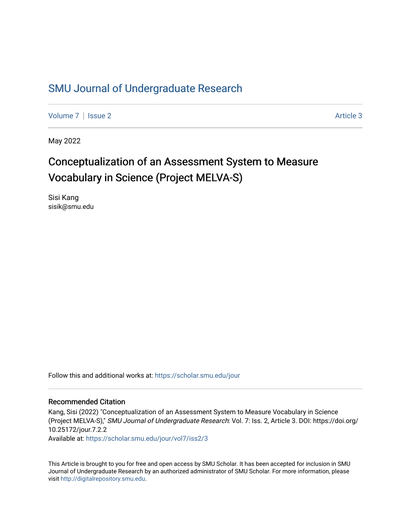## [SMU Journal of Undergraduate Research](https://scholar.smu.edu/jour)

[Volume 7](https://scholar.smu.edu/jour/vol7) | [Issue 2](https://scholar.smu.edu/jour/vol7/iss2) Article 3

May 2022

## Conceptualization of an Assessment System to Measure Vocabulary in Science (Project MELVA-S)

Sisi Kang sisik@smu.edu

Follow this and additional works at: [https://scholar.smu.edu/jour](https://scholar.smu.edu/jour?utm_source=scholar.smu.edu%2Fjour%2Fvol7%2Fiss2%2F3&utm_medium=PDF&utm_campaign=PDFCoverPages) 

#### Recommended Citation

Kang, Sisi (2022) "Conceptualization of an Assessment System to Measure Vocabulary in Science (Project MELVA-S)," SMU Journal of Undergraduate Research: Vol. 7: Iss. 2, Article 3. DOI: https://doi.org/ 10.25172/jour.7.2.2

Available at: [https://scholar.smu.edu/jour/vol7/iss2/3](https://scholar.smu.edu/jour/vol7/iss2/3?utm_source=scholar.smu.edu%2Fjour%2Fvol7%2Fiss2%2F3&utm_medium=PDF&utm_campaign=PDFCoverPages) 

This Article is brought to you for free and open access by SMU Scholar. It has been accepted for inclusion in SMU Journal of Undergraduate Research by an authorized administrator of SMU Scholar. For more information, please visit [http://digitalrepository.smu.edu](http://digitalrepository.smu.edu/).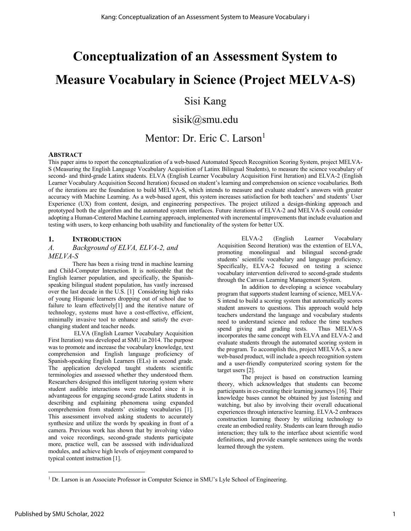# **Conceptualization of an Assessment System to Measure Vocabulary in Science (Project MELVA-S)**

## Sisi Kang

## sisik@smu.edu

## Mentor: Dr. Eric C. Larson<sup>1</sup>

#### **ABSTRACT**

This paper aims to report the conceptualization of a web-based Automated Speech Recognition Scoring System, project MELVA-S (Measuring the English Language Vocabulary Acquisition of Latinx Bilingual Students), to measure the science vocabulary of second- and third-grade Latinx students. ELVA (English Learner Vocabulary Acquisition First Iteration) and ELVA-2 (English Learner Vocabulary Acquisition Second Iteration) focused on student's learning and comprehension on science vocabularies. Both of the iterations are the foundation to build MELVA-S, which intends to measure and evaluate student's answers with greater accuracy with Machine Learning. As a web-based agent, this system increases satisfaction for both teachers' and students' User Experience (UX) from content, design, and engineering perspectives. The project utilized a design-thinking approach and prototyped both the algorithm and the automated system interfaces. Future iterations of ELVA-2 and MELVA-S could consider adopting a Human-Centered Machine Learning approach, implemented with incremental improvements that include evaluation and testing with users, to keep enhancing both usability and functionality of the system for better UX.

#### **1. INTRODUCTION**

## *A. Background of ELVA, ELVA-2, and*

#### *MELVA-S*

There has been a rising trend in machine learning and Child-Computer Interaction. It is noticeable that the English learner population, and specifically, the Spanishspeaking bilingual student population, has vastly increased over the last decade in the U.S. [1] Considering high risks of young Hispanic learners dropping out of school due to failure to learn effectively[1] and the iterative nature of technology, systems must have a cost-effective, efficient, minimally invasive tool to enhance and satisfy the everchanging student and teacher needs.

ELVA (English Learner Vocabulary Acquisition First Iteration) was developed at SMU in 2014. The purpose was to promote and increase the vocabulary knowledge, text comprehension and English language proficiency of Spanish-speaking English Learners (ELs) in second grade. The application developed taught students scientific terminologies and assessed whether they understood them. Researchers designed this intelligent tutoring system where student audible interactions were recorded since it is advantageous for engaging second-grade Latinx students in describing and explaining phenomena using expanded comprehension from students' existing vocabularies [1]. This assessment involved asking students to accurately synthesize and utilize the words by speaking in front of a camera. Previous work has shown that by involving video and voice recordings, second-grade students participate more, practice well, can be assessed with individualized modules, and achieve high levels of enjoyment compared to typical content instruction [1].

ELVA-2 (English Learner Vocabulary Acquisition Second Iteration) was the extention of ELVA, promoting monolingual and bilingual second-grade students' scientific vocabulary and language proficiency. Specifically, ELVA-2 focused on testing a science vocabulary intervention delivered to second-grade students through the Canvas Learning Management System.

In addition to developing a science vocabulary program that supports student learning of science, MELVA-S intend to build a scoring system that automatically scores student answers to questions. This approach would help teachers understand the language and vocabulary students need to understand science and reduce the time teachers spend giving and grading tests. Thus MELVA-S incorporates the same concept with ELVA and ELVA-2 and evaluate students through the automated scoring system in the program. To accomplish this, project MELVA-S, a new web-based product, will include a speech recognition system and a user-friendly computerized scoring system for the target users [2].

The project is based on construction learning theory, which acknowledges that students can become participants in co-creating their learning journeys [16]. Their knowledge bases cannot be obtained by just listening and watching, but also by involving their overall educational experiences through interactive learning. ELVA-2 embraces construction learning theory by utilizing technology to create an embodied reality. Students can learn through audio interaction; they talk to the interface about scientific word definitions, and provide example sentences using the words learned through the system.

<sup>&</sup>lt;sup>1</sup> Dr. Larson is an Associate Professor in Computer Science in SMU's Lyle School of Engineering.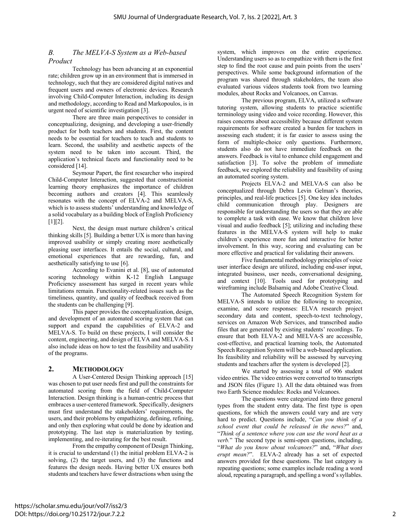#### *B. The MELVA-S System as a Web-based Product*

Technology has been advancing at an exponential rate; children grow up in an environment that is immersed in technology, such that they are considered digital natives and frequent users and owners of electronic devices. Research involving Child-Computer Interaction, including its design and methodology, according to Read and Markopoulos, is in urgent need of scientific investigation [3].

There are three main perspectives to consider in conceptualizing, designing, and developing a user-friendly product for both teachers and students. First, the content needs to be essential for teachers to teach and students to learn. Second, the usability and aesthetic aspects of the system need to be taken into account. Third, the application's technical facets and functionality need to be considered [14].

Seymour Papert, the first researcher who inspired Child-Computer Interaction, suggested that constructionist learning theory emphasizes the importance of children becoming authors and creators [4]. This seamlessly resonates with the concept of ELVA-2 and MELVA-S, which is to assess students' understanding and knowledge of a solid vocabulary as a building block of English Proficiency [1][2].

Next, the design must nurture children's critical thinking skills [5]. Building a better UX is more than having improved usability or simply creating more aesthetically pleasing user interfaces. It entails the social, cultural, and emotional experiences that are rewarding, fun, and aesthetically satisfying to use [6].

According to Evanini et al. [8], use of automated scoring technology within K-12 English Language Proficiency assessment has surged in recent years while limitations remain. Functionality-related issues such as the timeliness, quantity, and quality of feedback received from the students can be challenging [9].

This paper provides the conceptualization, design, and development of an automated scoring system that can support and expand the capabilities of ELVA-2 and MELVA-S. To build on these projects, I will consider the content, engineering, and design of ELVA and MELVA-S. I also include ideas on how to test the feasibility and usability of the programs.

#### **2. METHODOLOGY**

A User-Centered Design Thinking approach [15] was chosen to put user needs first and pull the constraints for automated scoring from the field of Child-Computer Interaction. Design thinking is a human-centric process that embraces a user-centered framework. Specifically, designers must first understand the stakeholders' requirements, the users, and their problems by empathizing, defining, refining, and only then exploring what could be done by ideation and prototyping. The last step is materialization by testing, implementing, and re-iterating for the best result.

From the empathy component of Design Thinking, it is crucial to understand (1) the initial problem ELVA-2 is solving,  $(2)$  the target users, and  $(3)$  the functions and features the design needs. Having better UX ensures both students and teachers have fewer distractions when using the system, which improves on the entire experience. Understanding users so as to empathize with them is the first step to find the root cause and pain points from the users' perspectives. While some background information of the program was shared through stakeholders, the team also evaluated various videos students took from two learning modules, about Rocks and Volcanoes, on Canvas.

The previous program, ELVA, utilized a software tutoring system, allowing students to practice scientific terminology using video and voice recording. However, this raises concerns about accessibility because different system requirements for software created a burden for teachers in assessing each student; it is far easier to assess using the form of multiple-choice only questions. Furthermore, students also do not have immediate feedback on the answers. Feedback is vital to enhance child engagement and satisfaction [3]. To solve the problem of immediate feedback, we explored the reliability and feasibility of using an automated scoring system.

Projects ELVA-2 and MELVA-S can also be conceptualized through Debra Levin Gelman's theories, principles, and real-life practices [5]. One key idea includes child communication through play. Designers are responsible for understanding the users so that they are able to complete a task with ease. We know that children love visual and audio feedback [5]; utilizing and including these features in the MELVA-S system will help to make children's experience more fun and interactive for better involvement. In this way, scoring and evaluating can be more effective and practical for validating their answers.

Five fundamental methodology principles of voice user interface design are utilized, including end-user input, integrated business, user needs, conversational designing, and context [10]. Tools used for prototyping and wireframing include Balsamiq and Adobe Creative Cloud.

The Automated Speech Recognition System for MELVA-S intends to utilize the following to recognize, examine, and score responses: ELVA research project secondary data and content, speech-to-text technology, services on Amazon Web Services, and transcribed audio files that are generated by existing students' recordings. To ensure that both ELVA-2 and MELVA-S are accessible, cost-effective, and practical learning tools, the Automated Speech Recognition System will be a web-based application. Its feasibility and reliability will be assessed by surveying students and teachers after the system is developed [2].

We started by assessing a total of 906 student video entries. The video entries were converted to transcripts and JSON files (Figure 1). All the data obtained was from two Earth Science modules: Rocks and Volcanoes.

The questions were categorized into three general types from the student entry data. The first type is open questions, for which the answers could vary and are very hard to predict. Questions include, "*Can you think of a school event that could be released in the news?*" and, "*Think of a sentence where you can use the word heat as a verb.*" The second type is semi-open questions, including, "*What do you know about volcanoes?*" and, "*What does erupt mean?*". ELVA-2 already has a set of expected answers provided for these questions. The last category is repeating questions; some examples include reading a word aloud, repeating a paragraph, and spelling a word's syllables.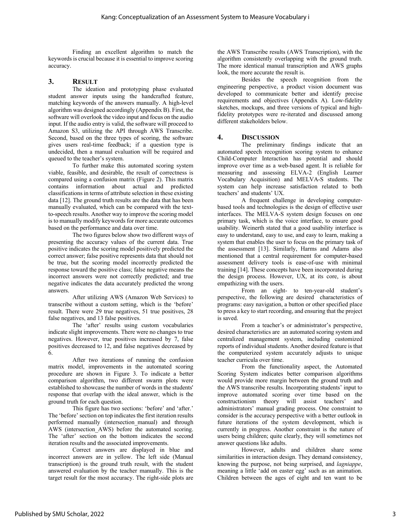Finding an excellent algorithm to match the keywords is crucial because it is essential to improve scoring accuracy.

#### **3. RESULT**

The ideation and prototyping phase evaluated student answer inputs using the handcrafted feature, matching keywords of the answers manually. A high-level algorithm was designed accordingly (Appendix B). First, the software will overlook the video input and focus on the audio input. If the audio entry is valid, the software will proceed to Amazon S3, utilizing the API through AWS Transcribe. Second, based on the three types of scoring, the software gives users real-time feedback; if a question type is undecided, then a manual evaluation will be required and queued to the teacher's system.

To further make this automated scoring system viable, feasible, and desirable, the result of correctness is compared using a confusion matrix (Figure 2). This matrix contains information about actual and predicted classifications in terms of attribute selection in these existing data [12]. The ground truth results are the data that has been manually evaluated, which can be compared with the textto-speech results. Another way to improve the scoring model is to manually modify keywords for more accurate outcomes based on the performance and data over time.

The two figures below show two different ways of presenting the accuracy values of the current data. True positive indicates the scoring model positively predicted the correct answer; false positive represents data that should not be true, but the scoring model incorrectly predicted the response toward the positive class; false negative means the incorrect answers were not correctly predicted; and true negative indicates the data accurately predicted the wrong answers.

After utilizing AWS (Amazon Web Services) to transcribe without a custom setting, which is the 'before' result. There were 29 true negatives, 51 true positives, 28 false negatives, and 13 false positives.

The 'after' results using custom vocabularies indicate slight improvements. There were no changes to true negatives. However, true positives increased by 7, false positives decreased to 12, and false negatives decreased by 6.

After two iterations of running the confusion matrix model, improvements in the automated scoring procedure are shown in Figure 3. To indicate a better comparison algorithm, two different swarm plots were established to showcase the number of words in the students' response that overlap with the ideal answer, which is the ground truth for each question.

This figure has two sections: 'before' and 'after.' The 'before' section on top indicates the first iteration results performed manually (intersection\_manual) and through AWS (intersection AWS) before the automated scoring. The 'after' section on the bottom indicates the second iteration results and the associated improvements.

Correct answers are displayed in blue and incorrect answers are in yellow. The left side (Manual transcription) is the ground truth result, with the student answered evaluation by the teacher manually. This is the target result for the most accuracy. The right-side plots are

the AWS Transcribe results (AWS Transcription), with the algorithm consistently overlapping with the ground truth. The more identical manual transcription and AWS graphs look, the more accurate the result is.

Besides the speech recognition from the engineering perspective, a product vision document was developed to communicate better and identify precise requirements and objectives (Appendix A). Low-fidelity sketches, mockups, and three versions of typical and highfidelity prototypes were re-iterated and discussed among different stakeholders below.

#### **4. DISCUSSION**

The preliminary findings indicate that an automated speech recognition scoring system to enhance Child-Computer Interaction has potential and should improve over time as a web-based agent. It is reliable for measuring and assessing ELVA-2 (English Learner Vocabulary Acquisition) and MELVA-S students. The system can help increase satisfaction related to both teachers' and students' UX.

A frequent challenge in developing computerbased tools and technologies is the design of effective user interfaces. The MELVA-S system design focuses on one primary task, which is the voice interface, to ensure good usability. Weinerth stated that a good usability interface is easy to understand, easy to use, and easy to learn, making a system that enables the user to focus on the primary task of the assessment [13]. Similarly, Harms and Adams also mentioned that a central requirement for computer-based assessment delivery tools is ease-of-use with minimal training [14]. These concepts have been incorporated during the design process. However, UX, at its core, is about empathizing with the users.

From an eight- to ten-year-old student's perspective, the following are desired characteristics of programs: easy navigation, a button or other specified place to press a key to start recording, and ensuring that the project is saved.

From a teacher's or administrator's perspective, desired characteristics are an automated scoring system and centralized management system, including customized reports of individual students. Another desired feature is that the computerized system accurately adjusts to unique teacher curricula over time.

From the functionality aspect, the Automated Scoring System indicates better comparison algorithms would provide more margin between the ground truth and the AWS transcribe results. Incorporating students' input to improve automated scoring over time based on the constructionism theory will assist teachers' and administrators' manual grading process. One constraint to consider is the accuracy perspective with a better outlook in future iterations of the system development, which is currently in progress. Another constraint is the nature of users being children; quite clearly, they will sometimes not answer questions like adults.

However, adults and children share some similarities in interaction design. They demand consistency, knowing the purpose, not being surprised, and *lagniappe*, meaning a little 'add on easter egg' such as an animation. Children between the ages of eight and ten want to be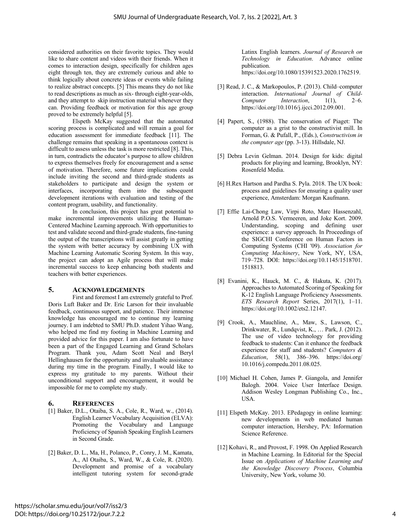considered authorities on their favorite topics. They would like to share content and videos with their friends. When it comes to interaction design, specifically for children ages eight through ten, they are extremely curious and able to think logically about concrete ideas or events while failing to realize abstract concepts. [5] This means they do not like to read descriptions as much as six- through eight-year-olds, and they attempt to skip instruction material whenever they can. Providing feedback or motivation for this age group proved to be extremely helpful [5].

Elspeth McKay suggested that the automated scoring process is complicated and will remain a goal for education assessment for immediate feedback [11]. The challenge remains that speaking in a spontaneous context is difficult to assess unless the task is more restricted [8]. This, in turn, contradicts the educator's purpose to allow children to express themselves freely for encouragement and a sense of motivation. Therefore, some future implications could include inviting the second and third-grade students as stakeholders to participate and design the system or interfaces, incorporating them into the subsequent development iterations with evaluation and testing of the content program, usability, and functionality.

In conclusion, this project has great potential to make incremental improvements utilizing the Human-Centered Machine Learning approach. With opportunities to test and validate second and third-grade students, fine-tuning the output of the transcriptions will assist greatly in getting the system with better accuracy by combining UX with Machine Learning Automatic Scoring System. In this way, the project can adopt an Agile process that will make incremental success to keep enhancing both students and teachers with better experiences.

#### **5. ACKNOWLEDGEMENTS**

First and foremost I am extremely grateful to Prof. Doris Luft Baker and Dr. Eric Larson for their invaluable feedback, continuous support, and patience. Their immense knowledge has encouraged me to continue my learning journey. I am indebted to SMU Ph.D. student Yihao Wang, who helped me find my footing in Machine Learning and provided advice for this paper. I am also fortunate to have been a part of the Engaged Learning and Grand Scholars Program. Thank you, Adam Scott Neal and Beryl Hellinghausen for the opportunity and invaluable assistance during my time in the program. Finally, I would like to express my gratitude to my parents. Without their unconditional support and encouragement, it would be impossible for me to complete my study.

#### **6. REFERENCES**

- [1] Baker, D.L., Otaiba, S. A., Cole, R., Ward, w., (2014). English Learner Vocabulary Acquisition (ELVA): Promoting the Vocabulary and Language Proficiency of Spanish Speaking English Learners in Second Grade.
- [2] Baker, D. L., Ma, H., Polanco, P., Conry, J. M., Kamata, A., Al Otaiba, S., Ward, W., & Cole, R. (2020). Development and promise of a vocabulary intelligent tutoring system for second-grade

Latinx English learners. *Journal of Research on Technology in Education*. Advance online publication. https://doi.org/10.1080/15391523.2020.1762519.

- [3] Read, J. C., & Markopoulos, P. (2013). Child–computer interaction. *International Journal of Child-Computer Interaction*, 1(1), 2–6. https://doi.org/10.1016/j.ijcci.2012.09.001.
- [4] Papert, S., (1988). The conservation of Piaget: The computer as a grist to the constructivist mill. In Forman, G. & Pufall, P., (Eds.), *Constructivism in the computer age* (pp. 3-13). Hillsdale, NJ.
- [5] Debra Levin Gelman. 2014. Design for kids: digital products for playing and learning, Brooklyn, NY: Rosenfeld Media.
- [6] H.Rex Hartson and Pardha S. Pyla. 2018. The UX book: process and guidelines for ensuring a quality user experience, Amsterdam: Morgan Kaufmann.
- [7] Effie Lai-Chong Law, Virpi Roto, Marc Hassenzahl, Arnold P.O.S. Vermeeren, and Joke Kort. 2009. Understanding, scoping and defining user experience: a survey approach. In Proceedings of the SIGCHI Conference on Human Factors in Computing Systems (CHI '09). *Association for Computing Machinery*, New York, NY, USA, 719–728. DOI: https://doi.org/10.1145/1518701. 1518813.
- [8] Evanini, K., Hauck, M. C., & Hakuta, K. (2017). Approaches to Automated Scoring of Speaking for K-12 English Language Proficiency Assessments. *ETS Research Report* Series, 2017(1), 1–11. https://doi.org/10.1002/ets2.12147.
- [9] Crook, A., Mauchline, A., Maw, S., Lawson, C., Drinkwater, R., Lundqvist, K., … Park, J. (2012). The use of video technology for providing feedback to students: Can it enhance the feedback experience for staff and students? *Computers & Education*, 58(1), 386–396. https://doi.org/ 10.1016/j.compedu.2011.08.025.
- [10] Michael H. Cohen, James P. Giangola, and Jennifer Balogh. 2004. Voice User Interface Design. Addison Wesley Longman Publishing Co., Inc., USA.
- [11] Elspeth McKay. 2013. EPedagogy in online learning: new developments in web mediated human computer interaction, Hershey, PA: Information Science Reference.
- [12] Kohavi, R., and Provost, F. 1998. On Applied Research in Machine Learning. In Editorial for the Special Issue on *Applications of Machine Learning and the Knowledge Discovery Process*, Columbia University, New York, volume 30.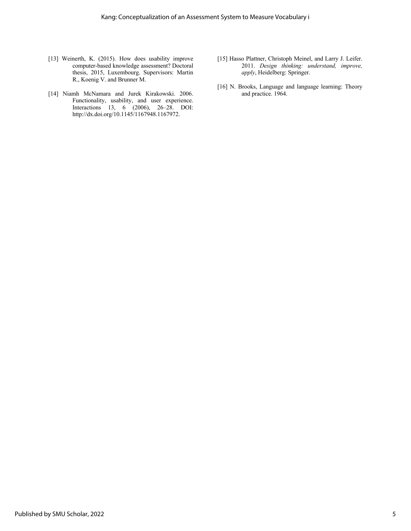- [13] Weinerth, K. (2015). How does usability improve computer-based knowledge assessment? Doctoral thesis, 2015, Luxembourg. Supervisors: Martin R., Koenig V. and Brunner M.
- [14] Niamh McNamara and Jurek Kirakowski. 2006. Functionality, usability, and user experience. Interactions 13, 6 (2006), 26–28. DOI: http://dx.doi.org/10.1145/1167948.1167972.
- [15] Hasso Plattner, Christoph Meinel, and Larry J. Leifer. 2011. *Design thinking: understand, improve, apply*, Heidelberg: Springer.
- [16] N. Brooks, Language and language learning: Theory and practice. 1964.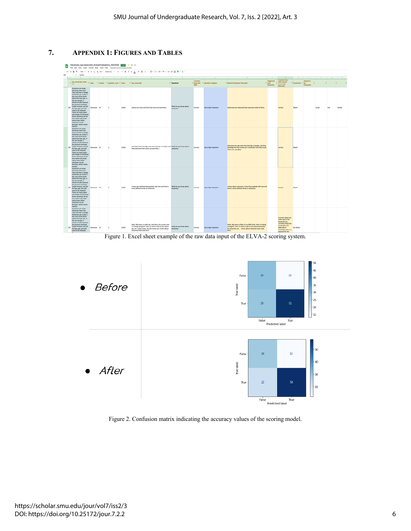

#### **7. APPENDIX 1: FIGURES AND TABLES**





Figure 2. Confusion matrix indicating the accuracy values of the scoring model.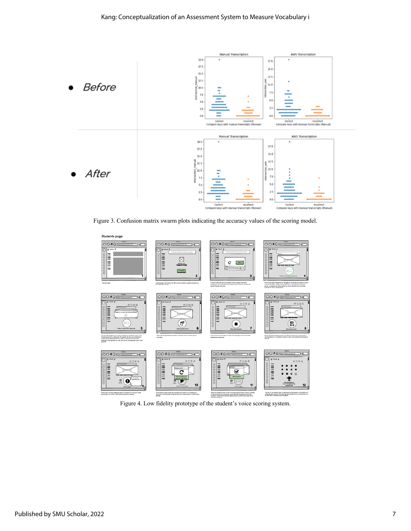

Figure 3. Confusion matrix swarm plots indicating the accuracy values of the scoring model.



Figure 4. Low fidelity prototype of the student's voice scoring system.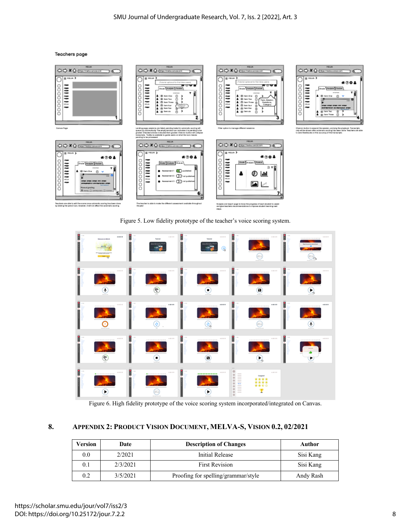**Teachers page** 



Figure 5. Low fidelity prototype of the teacher's voice scoring system.



Figure 6. High fidelity prototype of the voice scoring system incorporated/integrated on Canvas.

### **8. APPENDIX 2: PRODUCT VISION DOCUMENT, MELVA-S, VISION 0.2, 02/2021**

| Version | Date     | <b>Description of Changes</b>       | Author    |
|---------|----------|-------------------------------------|-----------|
| 0.0     | 2/2021   | Initial Release                     | Sisi Kang |
| 0.1     | 2/3/2021 | <b>First Revision</b>               | Sisi Kang |
| 0.2     | 3/5/2021 | Proofing for spelling/grammar/style | Andy Rash |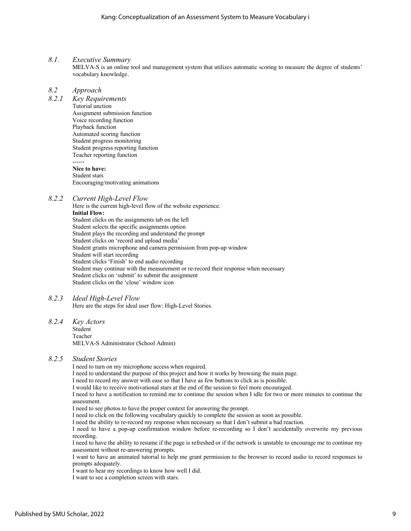#### *8.1. Executive Summary*

MELVA-S is an online tool and management system that utilizes automatic scoring to measure the degree of students' vocabulary knowledge.

#### *8.2 Approach*

*8.2.1 Key Requirements* Tutorial unction Assignment submission function Voice recording function Playback function Automated scoring function Student progress monitoring Student progress reporting function Teacher reporting function ------ **Nice to have:** Student stars Encouraging/motivating animations

#### *8.2.2 Current High-Level Flow*

Here is the current high-level flow of the website experience. **Initial Flow:** Student clicks on the assignments tab on the left Student selects the specific assignments option Student plays the recording and understand the prompt Student clicks on 'record and upload media' Student grants microphone and camera permission from pop-up window Student will start recording Student clicks 'Finish' to end audio recording Student may continue with the measurement or re-record their response when necessary Student clicks on 'submit' to submit the assignment Student clicks on the 'close' window icon

#### *8.2.3 Ideal High-Level Flow*

Here are the steps for ideal user flow: High-Level Stories.

#### *8.2.4 Key Actors*

Student Teacher MELVA-S Administrator (School Admin)

#### *8.2.5 Student Stories*

I need to turn on my microphone access when required.

I need to understand the purpose of this project and how it works by browsing the main page.

I need to record my answer with ease so that I have as few buttons to click as is possible.

I would like to receive motivational stars at the end of the session to feel more encouraged.

I need to have a notification to remind me to continue the session when I idle for two or more minutes to continue the assessment.

I need to see photos to have the proper context for answering the prompt.

I need to click on the following vocabulary quickly to complete the session as soon as possible.

I need the ability to re-record my response when necessary so that I don't submit a bad reaction.

I need to have a pop-up confirmation window before re-recording so I don't accidentally overwrite my previous recording.

I need to have the ability to resume if the page is refreshed or if the network is unstable to encourage me to continue my assessment without re-answering prompts.

I want to have an animated tutorial to help me grant permission to the browser to record audio to record responses to prompts adequately.

I want to hear my recordings to know how well I did.

I want to see a completion screen with stars.